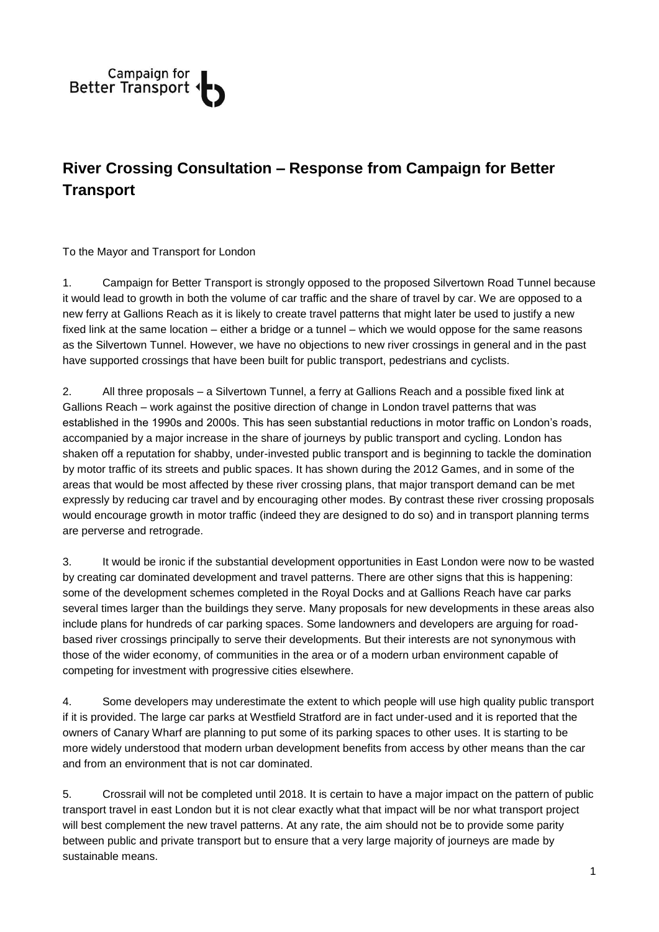

## **River Crossing Consultation – Response from Campaign for Better Transport**

To the Mayor and Transport for London

1. Campaign for Better Transport is strongly opposed to the proposed Silvertown Road Tunnel because it would lead to growth in both the volume of car traffic and the share of travel by car. We are opposed to a new ferry at Gallions Reach as it is likely to create travel patterns that might later be used to justify a new fixed link at the same location – either a bridge or a tunnel – which we would oppose for the same reasons as the Silvertown Tunnel. However, we have no objections to new river crossings in general and in the past have supported crossings that have been built for public transport, pedestrians and cyclists.

2. All three proposals – a Silvertown Tunnel, a ferry at Gallions Reach and a possible fixed link at Gallions Reach – work against the positive direction of change in London travel patterns that was established in the 1990s and 2000s. This has seen substantial reductions in motor traffic on London's roads, accompanied by a major increase in the share of journeys by public transport and cycling. London has shaken off a reputation for shabby, under-invested public transport and is beginning to tackle the domination by motor traffic of its streets and public spaces. It has shown during the 2012 Games, and in some of the areas that would be most affected by these river crossing plans, that major transport demand can be met expressly by reducing car travel and by encouraging other modes. By contrast these river crossing proposals would encourage growth in motor traffic (indeed they are designed to do so) and in transport planning terms are perverse and retrograde.

3. It would be ironic if the substantial development opportunities in East London were now to be wasted by creating car dominated development and travel patterns. There are other signs that this is happening: some of the development schemes completed in the Royal Docks and at Gallions Reach have car parks several times larger than the buildings they serve. Many proposals for new developments in these areas also include plans for hundreds of car parking spaces. Some landowners and developers are arguing for roadbased river crossings principally to serve their developments. But their interests are not synonymous with those of the wider economy, of communities in the area or of a modern urban environment capable of competing for investment with progressive cities elsewhere.

4. Some developers may underestimate the extent to which people will use high quality public transport if it is provided. The large car parks at Westfield Stratford are in fact under-used and it is reported that the owners of Canary Wharf are planning to put some of its parking spaces to other uses. It is starting to be more widely understood that modern urban development benefits from access by other means than the car and from an environment that is not car dominated.

5. Crossrail will not be completed until 2018. It is certain to have a major impact on the pattern of public transport travel in east London but it is not clear exactly what that impact will be nor what transport project will best complement the new travel patterns. At any rate, the aim should not be to provide some parity between public and private transport but to ensure that a very large majority of journeys are made by sustainable means.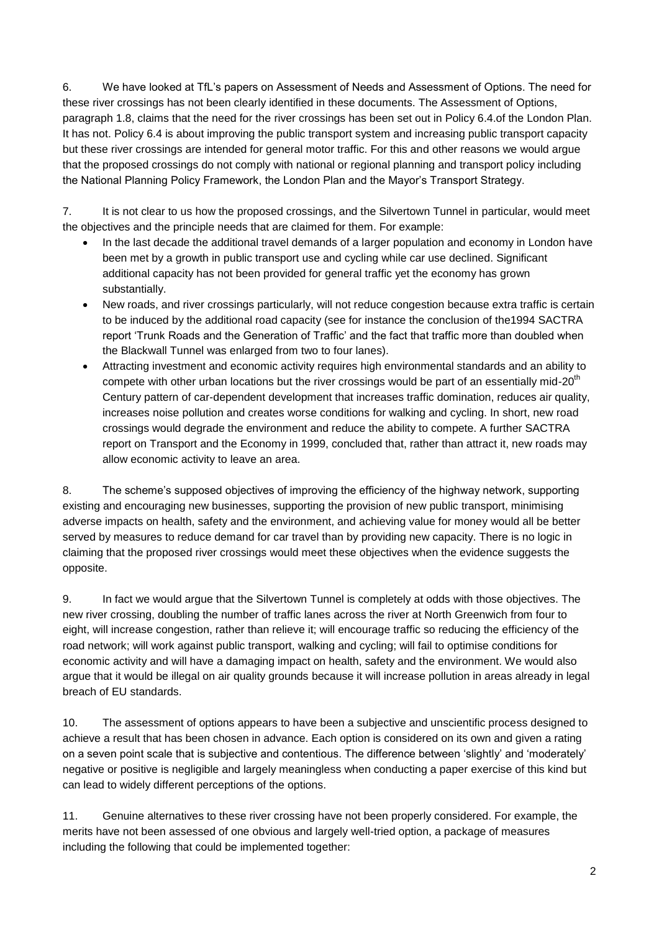6. We have looked at TfL's papers on Assessment of Needs and Assessment of Options. The need for these river crossings has not been clearly identified in these documents. The Assessment of Options, paragraph 1.8, claims that the need for the river crossings has been set out in Policy 6.4.of the London Plan. It has not. Policy 6.4 is about improving the public transport system and increasing public transport capacity but these river crossings are intended for general motor traffic. For this and other reasons we would argue that the proposed crossings do not comply with national or regional planning and transport policy including the National Planning Policy Framework, the London Plan and the Mayor's Transport Strategy.

7. It is not clear to us how the proposed crossings, and the Silvertown Tunnel in particular, would meet the objectives and the principle needs that are claimed for them. For example:

- In the last decade the additional travel demands of a larger population and economy in London have been met by a growth in public transport use and cycling while car use declined. Significant additional capacity has not been provided for general traffic yet the economy has grown substantially.
- New roads, and river crossings particularly, will not reduce congestion because extra traffic is certain to be induced by the additional road capacity (see for instance the conclusion of the1994 SACTRA report 'Trunk Roads and the Generation of Traffic' and the fact that traffic more than doubled when the Blackwall Tunnel was enlarged from two to four lanes).
- Attracting investment and economic activity requires high environmental standards and an ability to compete with other urban locations but the river crossings would be part of an essentially mid-20<sup>th</sup> Century pattern of car-dependent development that increases traffic domination, reduces air quality, increases noise pollution and creates worse conditions for walking and cycling. In short, new road crossings would degrade the environment and reduce the ability to compete. A further SACTRA report on Transport and the Economy in 1999, concluded that, rather than attract it, new roads may allow economic activity to leave an area.

8. The scheme's supposed objectives of improving the efficiency of the highway network, supporting existing and encouraging new businesses, supporting the provision of new public transport, minimising adverse impacts on health, safety and the environment, and achieving value for money would all be better served by measures to reduce demand for car travel than by providing new capacity. There is no logic in claiming that the proposed river crossings would meet these objectives when the evidence suggests the opposite.

9. In fact we would argue that the Silvertown Tunnel is completely at odds with those objectives. The new river crossing, doubling the number of traffic lanes across the river at North Greenwich from four to eight, will increase congestion, rather than relieve it; will encourage traffic so reducing the efficiency of the road network; will work against public transport, walking and cycling; will fail to optimise conditions for economic activity and will have a damaging impact on health, safety and the environment. We would also argue that it would be illegal on air quality grounds because it will increase pollution in areas already in legal breach of EU standards.

10. The assessment of options appears to have been a subjective and unscientific process designed to achieve a result that has been chosen in advance. Each option is considered on its own and given a rating on a seven point scale that is subjective and contentious. The difference between 'slightly' and 'moderately' negative or positive is negligible and largely meaningless when conducting a paper exercise of this kind but can lead to widely different perceptions of the options.

11. Genuine alternatives to these river crossing have not been properly considered. For example, the merits have not been assessed of one obvious and largely well-tried option, a package of measures including the following that could be implemented together: